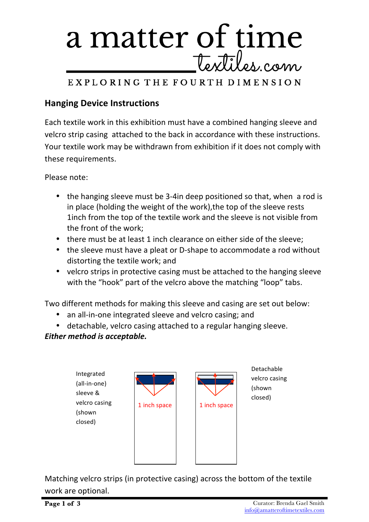

### EXPLORING THE FOURTH DIMENSION

### **Hanging Device Instructions**

Each textile work in this exhibition must have a combined hanging sleeve and velcro strip casing attached to the back in accordance with these instructions. Your textile work may be withdrawn from exhibition if it does not comply with these requirements.

Please note:

- the hanging sleeve must be 3-4in deep positioned so that, when a rod is in place (holding the weight of the work), the top of the sleeve rests 1inch from the top of the textile work and the sleeve is not visible from the front of the work:
- there must be at least 1 inch clearance on either side of the sleeve;
- the sleeve must have a pleat or D-shape to accommodate a rod without distorting the textile work; and
- velcro strips in protective casing must be attached to the hanging sleeve with the "hook" part of the velcro above the matching "loop" tabs.

Two different methods for making this sleeve and casing are set out below:

- an all-in-one integrated sleeve and velcro casing; and
- detachable, velcro casing attached to a regular hanging sleeve.

*Either method is acceptable.* 

Integrated (all-in-one) sleeve & velcro casing (shown closed)



Detachable velcro casing (shown closed)

Matching velcro strips (in protective casing) across the bottom of the textile work are optional.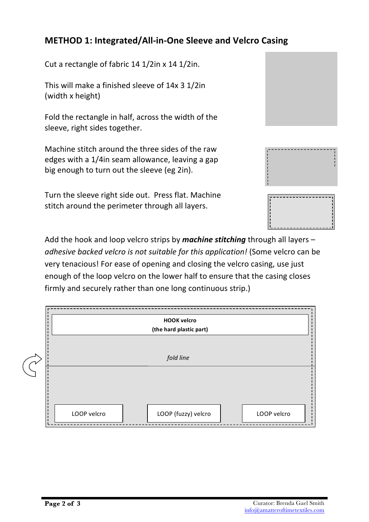# **METHOD 1: Integrated/All-in-One Sleeve and Velcro Casing**

Cut a rectangle of fabric  $14 \frac{1}{2}$ in x  $14 \frac{1}{2}$ in.

This will make a finished sleeve of  $14x$  3  $1/2$ in (width x height)

Fold the rectangle in half, across the width of the sleeve, right sides together.

Machine stitch around the three sides of the raw edges with a 1/4in seam allowance, leaving a gap big enough to turn out the sleeve (eg 2in).

Turn the sleeve right side out. Press flat. Machine stitch around the perimeter through all layers.

Add the hook and loop velcro strips by *machine stitching* through all layers – *adhesive backed velcro is not suitable for this application!* (Some velcro can be very tenacious! For ease of opening and closing the velcro casing, use just enough of the loop velcro on the lower half to ensure that the casing closes firmly and securely rather than one long continuous strip.)

| <b>HOOK velcro</b><br>(the hard plastic part)     |
|---------------------------------------------------|
| fold line                                         |
|                                                   |
| LOOP (fuzzy) velcro<br>LOOP velcro<br>LOOP velcro |